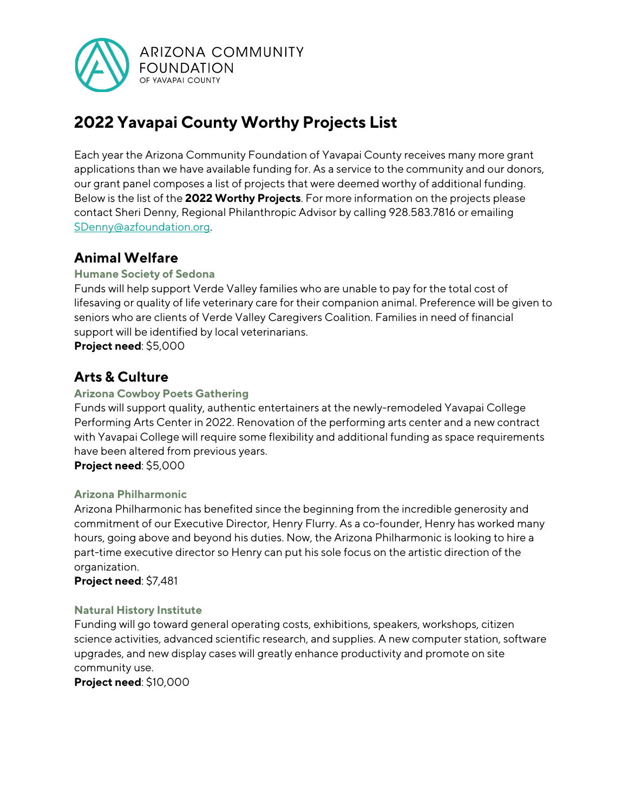

# **2022 Yavapai County Worthy Projects List**

Each year the Arizona Community Foundation of Yavapai County receives many more grant applications than we have available funding for. As a service to the community and our donors, our grant panel composes a list of projects that were deemed worthy of additional funding. Below is the list of the **2022 Worthy Projects**. For more information on the projects please contact Sheri Denny, Regional Philanthropic Advisor by calling 928.583.7816 or emailing SDenny@azfoundation.org.

# **Animal Welfare**

#### **Humane Society of Sedona**

Funds will help support Verde Valley families who are unable to pay for the total cost of lifesaving or quality of life veterinary care for their companion animal. Preference will be given to seniors who are clients of Verde Valley Caregivers Coalition. Families in need of financial support will be identified by local veterinarians.

**Project need**: \$5,000

# **Arts & Culture**

#### **Arizona Cowboy Poets Gathering**

Funds will support quality, authentic entertainers at the newly-remodeled Yavapai College Performing Arts Center in 2022. Renovation of the performing arts center and a new contract with Yavapai College will require some flexibility and additional funding as space requirements have been altered from previous years.

**Project need**: \$5,000

#### **Arizona Philharmonic**

Arizona Philharmonic has benefited since the beginning from the incredible generosity and commitment of our Executive Director, Henry Flurry. As a co-founder, Henry has worked many hours, going above and beyond his duties. Now, the Arizona Philharmonic is looking to hire a part-time executive director so Henry can put his sole focus on the artistic direction of the organization.

**Project need**: \$7,481

#### **Natural History Institute**

Funding will go toward general operating costs, exhibitions, speakers, workshops, citizen science activities, advanced scientific research, and supplies. A new computer station, software upgrades, and new display cases will greatly enhance productivity and promote on site community use.

**Project need**: \$10,000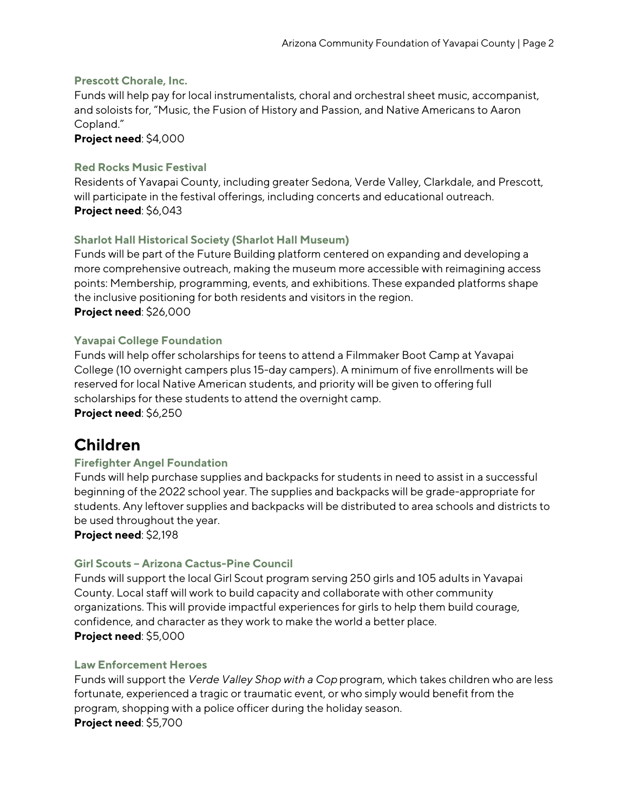#### **Prescott Chorale, Inc.**

Funds will help pay for local instrumentalists, choral and orchestral sheet music, accompanist, and soloists for, "Music, the Fusion of History and Passion, and Native Americans to Aaron Copland."

**Project need**: \$4,000

#### **Red Rocks Music Festival**

Residents of Yavapai County, including greater Sedona, Verde Valley, Clarkdale, and Prescott, will participate in the festival offerings, including concerts and educational outreach. **Project need**: \$6,043

#### **Sharlot Hall Historical Society (Sharlot Hall Museum)**

Funds will be part of the Future Building platform centered on expanding and developing a more comprehensive outreach, making the museum more accessible with reimagining access points: Membership, programming, events, and exhibitions. These expanded platforms shape the inclusive positioning for both residents and visitors in the region. **Project need**: \$26,000

#### **Yavapai College Foundation**

Funds will help offer scholarships for teens to attend a Filmmaker Boot Camp at Yavapai College (10 overnight campers plus 15-day campers). A minimum of five enrollments will be reserved for local Native American students, and priority will be given to offering full scholarships for these students to attend the overnight camp.

**Project need**: \$6,250

# **Children**

#### **Firefighter Angel Foundation**

Funds will help purchase supplies and backpacks for students in need to assist in a successful beginning of the 2022 school year. The supplies and backpacks will be grade-appropriate for students. Any leftover supplies and backpacks will be distributed to area schools and districts to be used throughout the year.

**Project need**: \$2,198

#### **Girl Scouts – Arizona Cactus-Pine Council**

Funds will support the local Girl Scout program serving 250 girls and 105 adults in Yavapai County. Local staff will work to build capacity and collaborate with other community organizations. This will provide impactful experiences for girls to help them build courage, confidence, and character as they work to make the world a better place. **Project need**: \$5,000

#### **Law Enforcement Heroes**

Funds will support the *Verde Valley Shop with a Cop* program, which takes children who are less fortunate, experienced a tragic or traumatic event, or who simply would benefit from the program, shopping with a police officer during the holiday season. **Project need**: \$5,700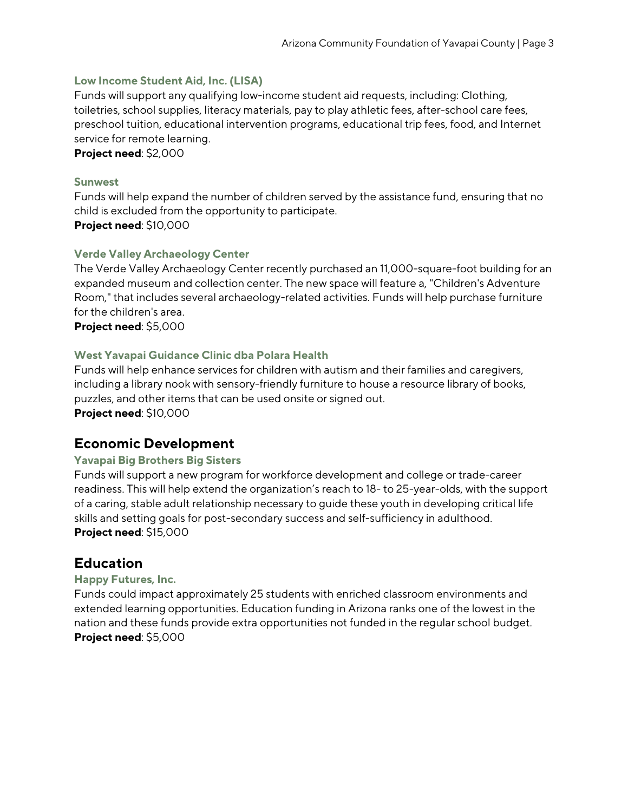#### **Low Income Student Aid, Inc. (LISA)**

Funds will support any qualifying low-income student aid requests, including: Clothing, toiletries, school supplies, literacy materials, pay to play athletic fees, after-school care fees, preschool tuition, educational intervention programs, educational trip fees, food, and Internet service for remote learning.

**Project need**: \$2,000

#### **Sunwest**

Funds will help expand the number of children served by the assistance fund, ensuring that no child is excluded from the opportunity to participate. **Project need**: \$10,000

#### **Verde Valley Archaeology Center**

The Verde Valley Archaeology Center recently purchased an 11,000-square-foot building for an expanded museum and collection center. The new space will feature a, "Children's Adventure Room," that includes several archaeology-related activities. Funds will help purchase furniture for the children's area.

**Project need**: \$5,000

#### **West Yavapai Guidance Clinic dba Polara Health**

Funds will help enhance services for children with autism and their families and caregivers, including a library nook with sensory-friendly furniture to house a resource library of books, puzzles, and other items that can be used onsite or signed out. **Project need**: \$10,000

### **Economic Development**

#### **Yavapai Big Brothers Big Sisters**

Funds will support a new program for workforce development and college or trade-career readiness. This will help extend the organization's reach to 18- to 25-year-olds, with the support of a caring, stable adult relationship necessary to guide these youth in developing critical life skills and setting goals for post-secondary success and self-sufficiency in adulthood. **Project need**: \$15,000

### **Education**

#### **Happy Futures, Inc.**

Funds could impact approximately 25 students with enriched classroom environments and extended learning opportunities. Education funding in Arizona ranks one of the lowest in the nation and these funds provide extra opportunities not funded in the regular school budget. **Project need**: \$5,000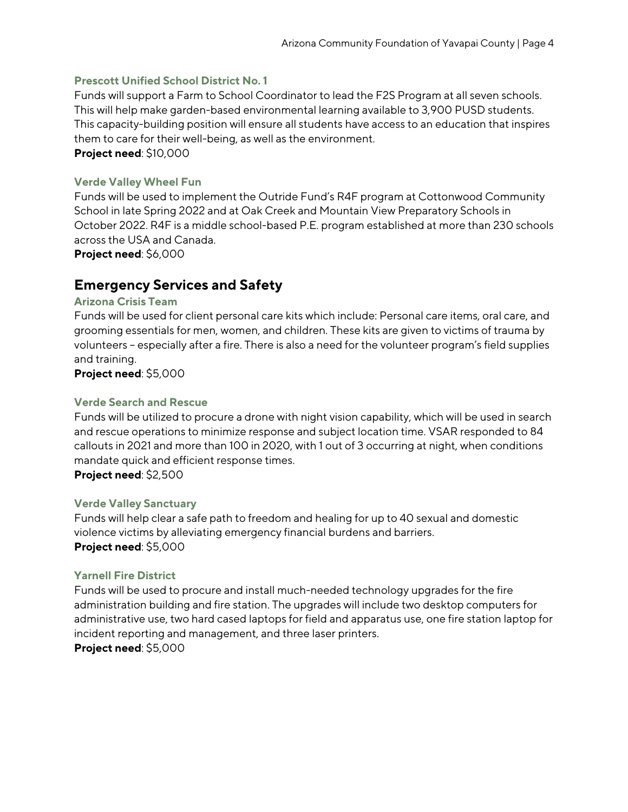#### **Prescott Unified School District No. 1**

Funds will support a Farm to School Coordinator to lead the F2S Program at all seven schools. This will help make garden-based environmental learning available to 3,900 PUSD students. This capacity-building position will ensure all students have access to an education that inspires them to care for their well-being, as well as the environment. **Project need**: \$10,000

**Verde Valley Wheel Fun**

Funds will be used to implement the Outride Fund's R4F program at Cottonwood Community School in late Spring 2022 and at Oak Creek and Mountain View Preparatory Schools in October 2022. R4F is a middle school-based P.E. program established at more than 230 schools across the USA and Canada.

**Project need**: \$6,000

### **Emergency Services and Safety**

#### **Arizona Crisis Team**

Funds will be used for client personal care kits which include: Personal care items, oral care, and grooming essentials for men, women, and children. These kits are given to victims of trauma by volunteers – especially after a fire. There is also a need for the volunteer program's field supplies and training.

**Project need**: \$5,000

#### **Verde Search and Rescue**

Funds will be utilized to procure a drone with night vision capability, which will be used in search and rescue operations to minimize response and subject location time. VSAR responded to 84 callouts in 2021 and more than 100 in 2020, with 1 out of 3 occurring at night, when conditions mandate quick and efficient response times. **Project need**: \$2,500

#### **Verde Valley Sanctuary**

Funds will help clear a safe path to freedom and healing for up to 40 sexual and domestic violence victims by alleviating emergency financial burdens and barriers. **Project need**: \$5,000

#### **Yarnell Fire District**

Funds will be used to procure and install much-needed technology upgrades for the fire administration building and fire station. The upgrades will include two desktop computers for administrative use, two hard cased laptops for field and apparatus use, one fire station laptop for incident reporting and management, and three laser printers. **Project need**: \$5,000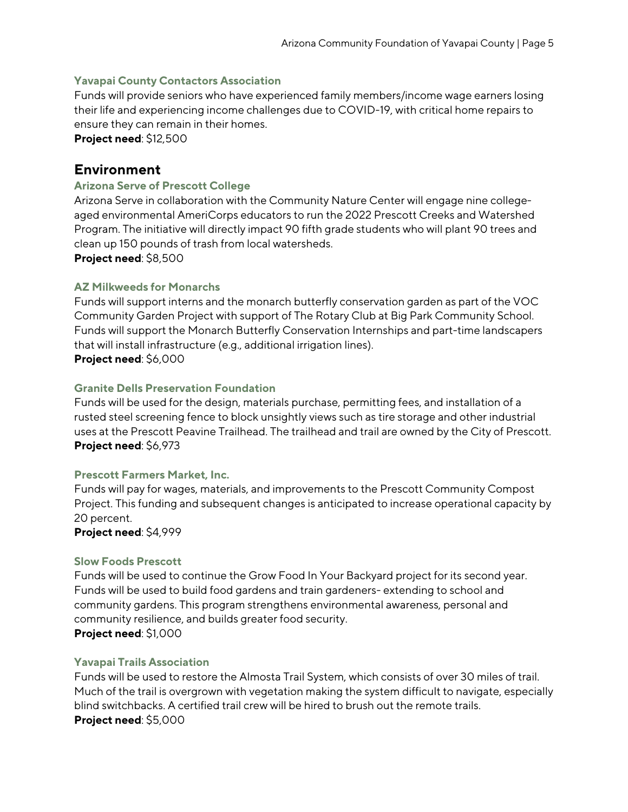#### **Yavapai County Contactors Association**

Funds will provide seniors who have experienced family members/income wage earners losing their life and experiencing income challenges due to COVID-19, with critical home repairs to ensure they can remain in their homes.

**Project need**: \$12,500

### **Environment**

#### **Arizona Serve of Prescott College**

Arizona Serve in collaboration with the Community Nature Center will engage nine collegeaged environmental AmeriCorps educators to run the 2022 Prescott Creeks and Watershed Program. The initiative will directly impact 90 fifth grade students who will plant 90 trees and clean up 150 pounds of trash from local watersheds.

**Project need**: \$8,500

#### **AZ Milkweeds for Monarchs**

Funds will support interns and the monarch butterfly conservation garden as part of the VOC Community Garden Project with support of The Rotary Club at Big Park Community School. Funds will support the Monarch Butterfly Conservation Internships and part-time landscapers that will install infrastructure (e.g., additional irrigation lines). **Project need**: \$6,000

#### **Granite Dells Preservation Foundation**

Funds will be used for the design, materials purchase, permitting fees, and installation of a rusted steel screening fence to block unsightly views such as tire storage and other industrial uses at the Prescott Peavine Trailhead. The trailhead and trail are owned by the City of Prescott. **Project need**: \$6,973

#### **Prescott Farmers Market, Inc.**

Funds will pay for wages, materials, and improvements to the Prescott Community Compost Project. This funding and subsequent changes is anticipated to increase operational capacity by 20 percent.

**Project need**: \$4,999

#### **Slow Foods Prescott**

Funds will be used to continue the Grow Food In Your Backyard project for its second year. Funds will be used to build food gardens and train gardeners- extending to school and community gardens. This program strengthens environmental awareness, personal and community resilience, and builds greater food security.

**Project need**: \$1,000

#### **Yavapai Trails Association**

Funds will be used to restore the Almosta Trail System, which consists of over 30 miles of trail. Much of the trail is overgrown with vegetation making the system difficult to navigate, especially blind switchbacks. A certified trail crew will be hired to brush out the remote trails. **Project need**: \$5,000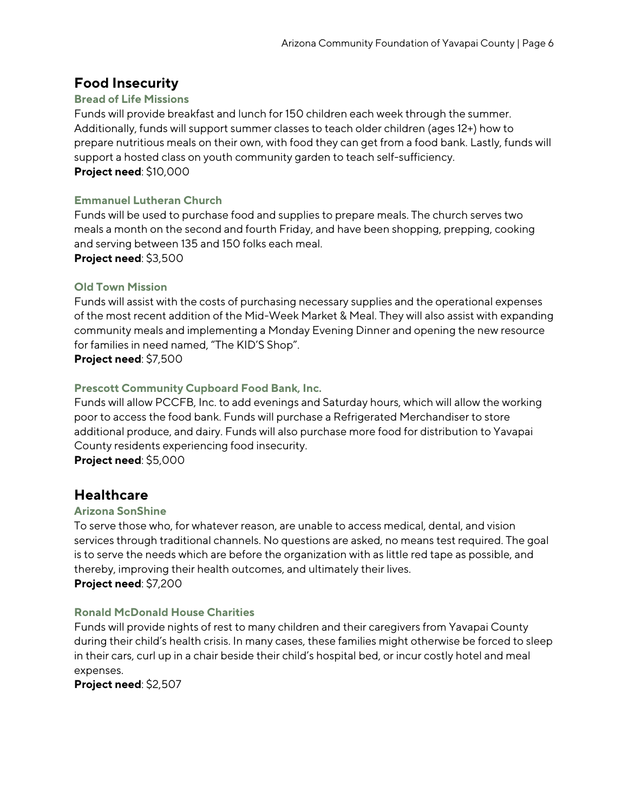# **Food Insecurity**

#### **Bread of Life Missions**

Funds will provide breakfast and lunch for 150 children each week through the summer. Additionally, funds will support summer classes to teach older children (ages 12+) how to prepare nutritious meals on their own, with food they can get from a food bank. Lastly, funds will support a hosted class on youth community garden to teach self-sufficiency. **Project need**: \$10,000

#### **Emmanuel Lutheran Church**

Funds will be used to purchase food and supplies to prepare meals. The church serves two meals a month on the second and fourth Friday, and have been shopping, prepping, cooking and serving between 135 and 150 folks each meal.

**Project need**: \$3,500

#### **Old Town Mission**

Funds will assist with the costs of purchasing necessary supplies and the operational expenses of the most recent addition of the Mid-Week Market & Meal. They will also assist with expanding community meals and implementing a Monday Evening Dinner and opening the new resource for families in need named, "The KID'S Shop".

**Project need**: \$7,500

#### **Prescott Community Cupboard Food Bank, Inc.**

Funds will allow PCCFB, Inc. to add evenings and Saturday hours, which will allow the working poor to access the food bank. Funds will purchase a Refrigerated Merchandiser to store additional produce, and dairy. Funds will also purchase more food for distribution to Yavapai County residents experiencing food insecurity. **Project need**: \$5,000

### **Healthcare**

#### **Arizona SonShine**

To serve those who, for whatever reason, are unable to access medical, dental, and vision services through traditional channels. No questions are asked, no means test required. The goal is to serve the needs which are before the organization with as little red tape as possible, and thereby, improving their health outcomes, and ultimately their lives. **Project need**: \$7,200

#### **Ronald McDonald House Charities**

Funds will provide nights of rest to many children and their caregivers from Yavapai County during their child's health crisis. In many cases, these families might otherwise be forced to sleep in their cars, curl up in a chair beside their child's hospital bed, or incur costly hotel and meal expenses.

**Project need**: \$2,507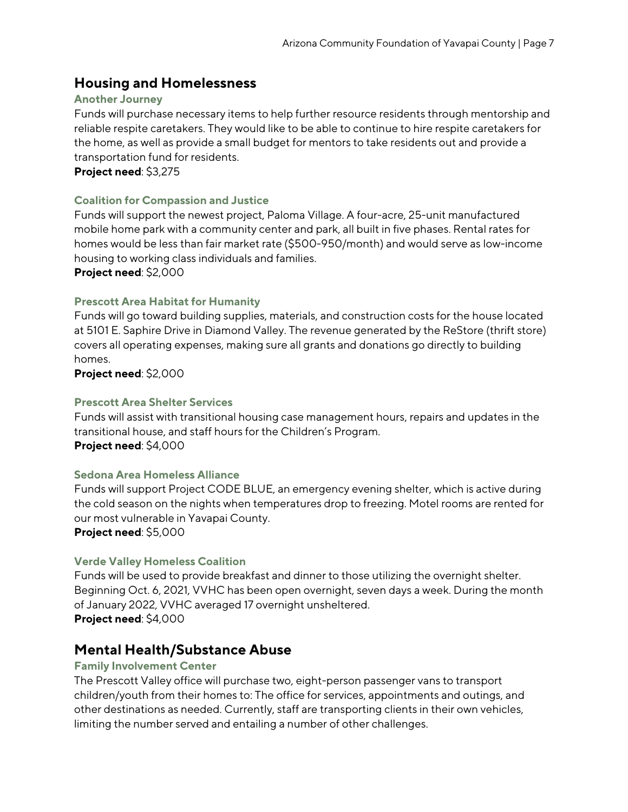## **Housing and Homelessness**

#### **Another Journey**

Funds will purchase necessary items to help further resource residents through mentorship and reliable respite caretakers. They would like to be able to continue to hire respite caretakers for the home, as well as provide a small budget for mentors to take residents out and provide a transportation fund for residents.

**Project need**: \$3,275

#### **Coalition for Compassion and Justice**

Funds will support the newest project, Paloma Village. A four-acre, 25-unit manufactured mobile home park with a community center and park, all built in five phases. Rental rates for homes would be less than fair market rate (\$500-950/month) and would serve as low-income housing to working class individuals and families.

**Project need**: \$2,000

#### **Prescott Area Habitat for Humanity**

Funds will go toward building supplies, materials, and construction costs for the house located at 5101 E. Saphire Drive in Diamond Valley. The revenue generated by the ReStore (thrift store) covers all operating expenses, making sure all grants and donations go directly to building homes.

**Project need**: \$2,000

#### **Prescott Area Shelter Services**

Funds will assist with transitional housing case management hours, repairs and updates in the transitional house, and staff hours for the Children's Program. **Project need**: \$4,000

#### **Sedona Area Homeless Alliance**

Funds will support Project CODE BLUE, an emergency evening shelter, which is active during the cold season on the nights when temperatures drop to freezing. Motel rooms are rented for our most vulnerable in Yavapai County.

**Project need**: \$5,000

#### **Verde Valley Homeless Coalition**

Funds will be used to provide breakfast and dinner to those utilizing the overnight shelter. Beginning Oct. 6, 2021, VVHC has been open overnight, seven days a week. During the month of January 2022, VVHC averaged 17 overnight unsheltered. **Project need**: \$4,000

### **Mental Health/Substance Abuse**

#### **Family Involvement Center**

The Prescott Valley office will purchase two, eight-person passenger vans to transport children/youth from their homes to: The office for services, appointments and outings, and other destinations as needed. Currently, staff are transporting clients in their own vehicles, limiting the number served and entailing a number of other challenges.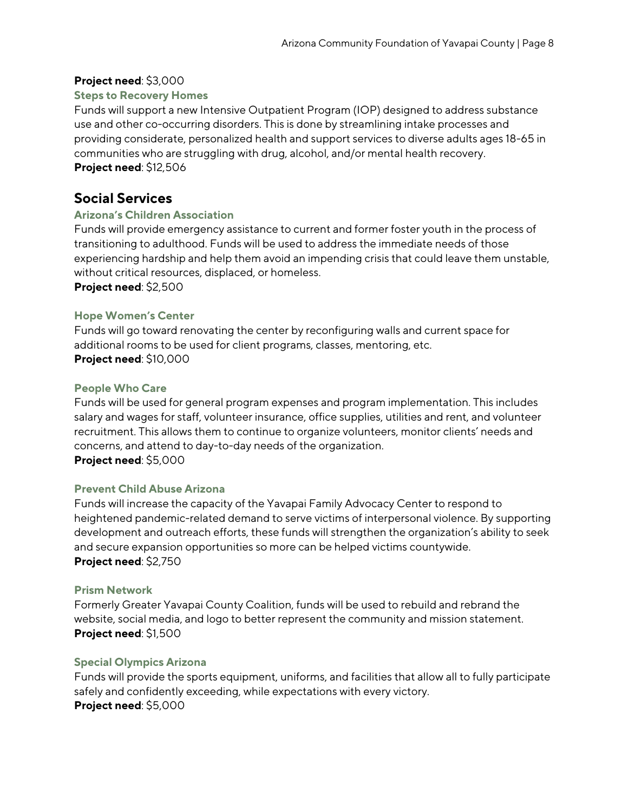#### **Project need**: \$3,000

#### **Steps to Recovery Homes**

Funds will support a new Intensive Outpatient Program (IOP) designed to address substance use and other co-occurring disorders. This is done by streamlining intake processes and providing considerate, personalized health and support services to diverse adults ages 18-65 in communities who are struggling with drug, alcohol, and/or mental health recovery. **Project need**: \$12,506

# **Social Services**

#### **Arizona's Children Association**

Funds will provide emergency assistance to current and former foster youth in the process of transitioning to adulthood. Funds will be used to address the immediate needs of those experiencing hardship and help them avoid an impending crisis that could leave them unstable, without critical resources, displaced, or homeless.

**Project need**: \$2,500

#### **Hope Women's Center**

Funds will go toward renovating the center by reconfiguring walls and current space for additional rooms to be used for client programs, classes, mentoring, etc. **Project need**: \$10,000

#### **People Who Care**

Funds will be used for general program expenses and program implementation. This includes salary and wages for staff, volunteer insurance, office supplies, utilities and rent, and volunteer recruitment. This allows them to continue to organize volunteers, monitor clients' needs and concerns, and attend to day-to-day needs of the organization. **Project need**: \$5,000

#### **Prevent Child Abuse Arizona**

Funds will increase the capacity of the Yavapai Family Advocacy Center to respond to heightened pandemic-related demand to serve victims of interpersonal violence. By supporting development and outreach efforts, these funds will strengthen the organization's ability to seek and secure expansion opportunities so more can be helped victims countywide. **Project need**: \$2,750

#### **Prism Network**

Formerly Greater Yavapai County Coalition, funds will be used to rebuild and rebrand the website, social media, and logo to better represent the community and mission statement. **Project need**: \$1,500

#### **Special Olympics Arizona**

Funds will provide the sports equipment, uniforms, and facilities that allow all to fully participate safely and confidently exceeding, while expectations with every victory. **Project need**: \$5,000